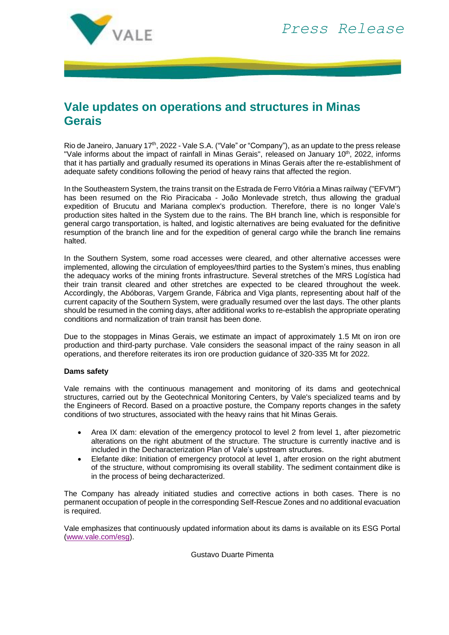

## **Vale updates on operations and structures in Minas Gerais**

Rio de Janeiro, January 17<sup>th</sup>, 2022 - Vale S.A. ("Vale" or "Company"), as an update to the press release "Vale informs about the impact of rainfall in Minas Gerais", released on January 10th, 2022, informs that it has partially and gradually resumed its operations in Minas Gerais after the re-establishment of adequate safety conditions following the period of heavy rains that affected the region.

In the Southeastern System, the trains transit on the Estrada de Ferro Vitória a Minas railway ("EFVM") has been resumed on the Rio Piracicaba - João Monlevade stretch, thus allowing the gradual expedition of Brucutu and Mariana complex's production. Therefore, there is no longer Vale's production sites halted in the System due to the rains. The BH branch line, which is responsible for general cargo transportation, is halted, and logistic alternatives are being evaluated for the definitive resumption of the branch line and for the expedition of general cargo while the branch line remains halted.

In the Southern System, some road accesses were cleared, and other alternative accesses were implemented, allowing the circulation of employees/third parties to the System's mines, thus enabling the adequacy works of the mining fronts infrastructure. Several stretches of the MRS Logística had their train transit cleared and other stretches are expected to be cleared throughout the week. Accordingly, the Abóboras, Vargem Grande, Fábrica and Viga plants, representing about half of the current capacity of the Southern System, were gradually resumed over the last days. The other plants should be resumed in the coming days, after additional works to re-establish the appropriate operating conditions and normalization of train transit has been done.

Due to the stoppages in Minas Gerais, we estimate an impact of approximately 1.5 Mt on iron ore production and third-party purchase. Vale considers the seasonal impact of the rainy season in all operations, and therefore reiterates its iron ore production guidance of 320-335 Mt for 2022.

## **Dams safety**

Vale remains with the continuous management and monitoring of its dams and geotechnical structures, carried out by the Geotechnical Monitoring Centers, by Vale's specialized teams and by the Engineers of Record. Based on a proactive posture, the Company reports changes in the safety conditions of two structures, associated with the heavy rains that hit Minas Gerais.

- Area IX dam: elevation of the emergency protocol to level 2 from level 1, after piezometric alterations on the right abutment of the structure. The structure is currently inactive and is included in the Decharacterization Plan of Vale's upstream structures.
- Elefante dike: Initiation of emergency protocol at level 1, after erosion on the right abutment of the structure, without compromising its overall stability. The sediment containment dike is in the process of being decharacterized.

The Company has already initiated studies and corrective actions in both cases. There is no permanent occupation of people in the corresponding Self-Rescue Zones and no additional evacuation is required.

Vale emphasizes that continuously updated information about its dams is available on its ESG Portal [\(www.vale.com/esg\)](http://www.vale.com/esg).

Gustavo Duarte Pimenta